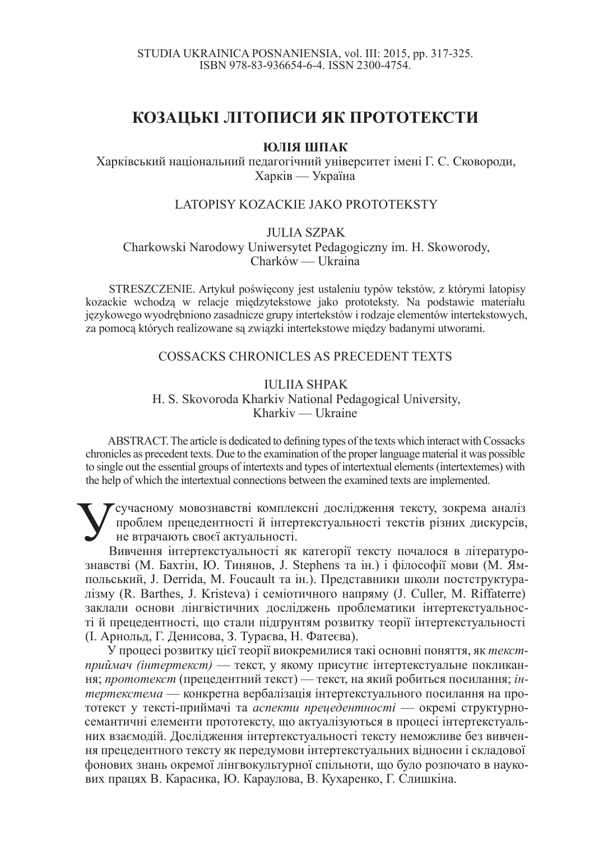# КОЗАЦЬКІ ЛІТОПИСИ ЯК ПРОТОТЕКСТИ

### **ЮЛІЯ ШПАК**

Харківський національний педагогічний університет імені Г. С. Сковороди, Харків — Україна

#### LATOPISY KOZACKIE JAKO PROTOTEKSTY

JULIA SZPAK

Charkowski Narodowy Uniwersytet Pedagogiczny im. H. Skoworody, Charków — Ukraina

STRESZCZENIE. Artykuł poświęcony jest ustaleniu typów tekstów, z którymi latopisy kozackie wchodzą w relacje międzytekstowe jako prototeksty. Na podstawie materiału językowego wyodrębniono zasadnicze grupy intertekstów i rodzaje elementów intertekstowych, za pomocą których realizowane są związki intertekstowe między badanymi utworami.

## COSSACKS CHRONICLES AS PRECEDENT TEXTS

IULIIA SHPAK H. S. Skovoroda Kharkiv National Pedagogical University, Kharkiv — Ukraine

ABSTRACT. The article is dedicated to defining types of the texts which interact with Cossacks chronicles as precedent texts. Due to the examination of the proper language material it was possible to single out the essential groups of intertexts and types of intertextual elements (intertextemes) with the help of which the intertextual connections between the examined texts are implemented.

 $\sum_{\rm B}$ сучасному мовознавстві комплексні дослідження тексту, зокрема аналіз проблем прецедентності й інтертекстуальності текстів різних дискурсів, не втрачають своєї актуальності.

Вивчення інтертекстуальності як категорії тексту почалося в літературознавстві (М. Бахтін, Ю. Тинянов, J. Stephens та ін.) і філософії мови (М. Ямпольський, J. Derrida, М. Foucault та ін.). Представники школи постструктуралізму (R. Barthes, J. Kristeva) і семіотичного напряму (J. Culler, M. Riffaterre) заклали основи лінгвістичних досліджень проблематики інтертекстуальностій прецедентності, що стали пілґрунтям розвитку теорії інтертекстуальності (І. Арнольд, Г. Денисова, З. Тураєва, Н. Фатеєва).

У процесі розвитку цієї теорії виокремилися такі основні поняття, як *текст*приймач (*інтертекст*и) — текст, у якому присутнє інтертекстуальне покликання; *прототекст* (прецедентний текст) — текст, на який робиться посилання; *інтертекстема* — конкретна вербалізація інтертекстуального посилання на прототекст у тексті-приймачі та *аспекти прецедентності* — окремі структурносемантичні елементи прототексту, що актуалізуються в процесі інтертекстуальних взаємодій. Дослідження інтертекстуальності тексту неможливе без вивчення прецедентного тексту як передумови інтертекстуальних відносин і складової фонових знань окремої лінгвокультурної спільноти, що було розпочато в наукових працях В. Карасика, Ю. Караулова, В. Кухаренко, Г. Слишкіна.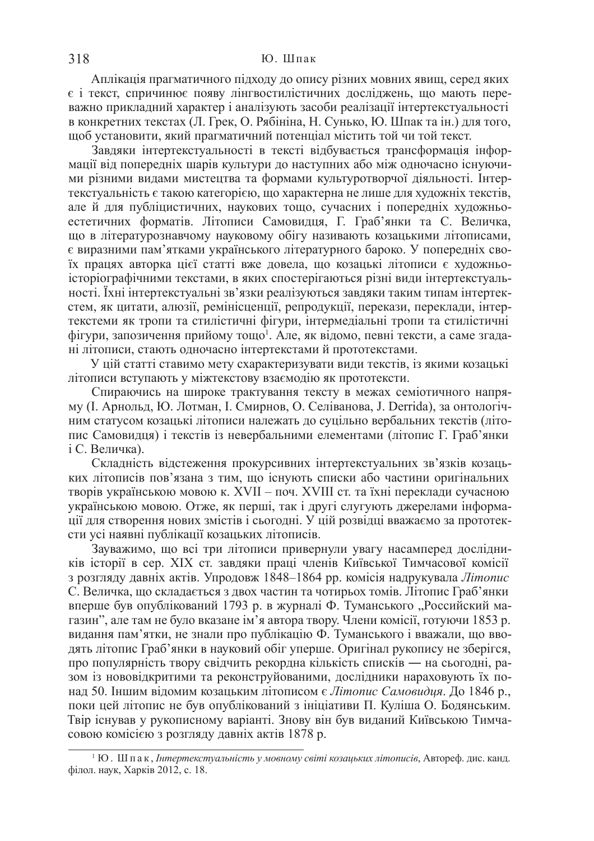Аплікація прагматичного підходу до опису різних мовних явищ, серед яких € і текст, спричинює появу лінгвостилістичних досліджень, що мають переважно прикладний характер і аналізують засоби реалізації інтертекстуальності в конкретних текстах (Л. Грек, О. Рябініна, Н. Сунько, Ю. Шпак та ін.) для того, щоб установити, який прагматичний потенціал містить той чи той текст.

Завдяки інтертекстуальності в тексті відбувається трансформація інформації від попередніх шарів культури до наступних або між одночасно існуючими різними видами мистецтва та формами культуротворчої діяльності. Інтертекстуальність є такою категорією, що характерна не лише для художніх текстів, але й для публіцистичних, наукових тощо, сучасних і попередніх художньоестетичних форматів. Літописи Самовидця, Г. Граб'янки та С. Величка, що в літературознавчому науковому обігу називають козацькими літописами, є виразними пам'ятками українського літературного бароко. У попередніх своїх працях авторка цієї статті вже довела, що козацькі літописи є художньоісторіографічними текстами, в яких спостерігаються різні види інтертекстуальності. Їхні інтертекстуальні зв'язки реалізуються завдяки таким типам інтертекстем, як цитати, алюзії, ремінісценції, репродукції, перекази, переклади, інтертекстеми як тропи та стилістичні фігури, інтермедіальні тропи та стилістичні фігури, запозичення прийому тощо<sup>1</sup>. Але, як відомо, певні тексти, а саме згадані літописи, стають одночасно інтертекстами й прототекстами.

У цій статті ставимо мету схарактеризувати види текстів, із якими козацькі літописи вступають у міжтекстову взаємодію як прототексти.

Спираючись на широке трактування тексту в межах семіотичного напряму (І. Арнольд, Ю. Лотман, І. Смирнов, О. Селіванова, J. Derrida), за онтологічним статусом козацькі літописи належать до суцільно вербальних текстів (літопис Самовидця) і текстів із невербальними елементами (літопис Г. Граб'янки і С. Величка).

Складність відстеження прокурсивних інтертекстуальних зв'язків козацьких літописів пов'язана з тим, що існують списки або частини оригінальних творів українською мовою к. XVII – поч. XVIII ст. та їхні переклади сучасною українською мовою. Отже, як перші, так і другі слугують джерелами інформації для створення нових змістів і сьогодні. У цій розвідці вважаємо за прототексти усі наявні публікації козацьких літописів.

Зауважимо, що всі три літописи привернули увагу насамперед дослідників історії в сер. XIX ст. завдяки праці членів Київської Тимчасової комісії з розгляду давніх актів. Упродовж 1848–1864 рр. комісія надрукувала *Літопис* С. Величка, що складається з двох частин та чотирьох томів. Літопис Граб'янки вперше був опублікований 1793 р. в журналі Ф. Туманського "Российский магазин", але там не було вказане ім'я автора твору. Члени комісії, готуючи 1853 р. видання пам'ятки, не знали про публікацію Ф. Туманського і вважали, що вводять літопис Граб'янки в науковий обіг уперше. Оригінал рукопису не зберігся, про популярність твору свідчить рекордна кількість списків — на сьогодні, разом із нововідкритими та реконструйованими, дослідники нараховують їх понад 50. Іншим відомим козацьким літописом є Літопис Самовидуя. До 1846 р., поки цей літопис не був опублікований з ініціативи П. Куліша О. Бодянським. Твір існував у рукописному варіанті. Знову він був виданий Київською Тимчасовою комісією з розгляду давніх актів 1878 p.

<sup>&</sup>lt;sup>1</sup> Ю. Шпак, *Інтертекстуальність у мовному світі козацьких літописів*, Автореф. дис. канд. філол. наук, Харків 2012, с. 18.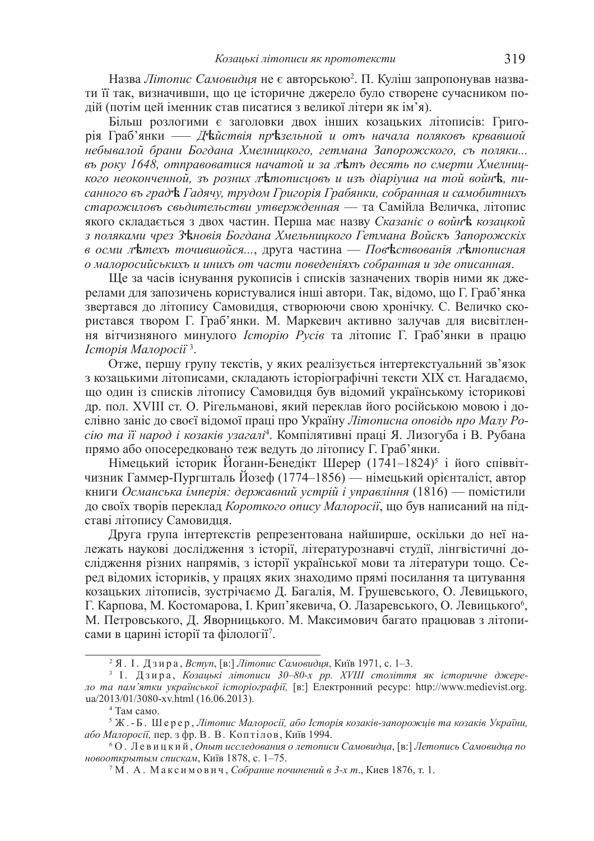Назва *Літопис Самовидця* не є авторською<sup>2</sup>. П. Куліш запропонував назвати її так, визначивши, що це історичне джерело було створене сучасником подій (потім цей іменник став писатися з великої літери як ім'я).

Більш розлогими є заголовки двох інших козацьких літописів: Григорія Граб'янки — Дъниствія пръзельной и отъ начала поляковъ крвавшой <del>иебывалой брани Богдана Хмелниикого, гетмана Запорожского, съ поляки...</del> *ɜɴ ɪɨɤɭ 1648, ɨɬɩɪɚɜɨɜɚɬɢɫɹ ɧɚɱɚɬɨɣ ɢ ɡɚ ɥ*h*ɬɴ ɞɟɫɹɬɶ ɩɨ ɫɦɟɪɬɢ ɏɦɟɥɧɢɰ-* $\kappa$ ого неоконченной, зъ розних летописцовъ и изъ діаріуша на той войне, писанного въ градъ Гадячу, трудом Григорія Грабянки, собранная и самобитнихъ старожиловъ свьдительстви утвержденная — та Самійла Величка, літопис якого складається з двох частин. Перша має назву Сказаніє о войнъ козацкой з поляками чрез Зеновія Богдана Хмельницкого Гетмана Войскъ Запорожскіх *в осми лекиехъ точившойся..., друга частина — Повекствованія лектописная*  $\boldsymbol{\theta}$  малоросийськихъ и инихъ от части поведеніяхъ собранная и зде описанная.

Ще за часів існування рукописів і списків зазначених творів ними як джерелами для запозичень користувалися інші автори. Так, відомо, що Г. Граб'янка звертався до літопису Самовидця, створюючи свою хронічку. С. Величко скористався твором Г. Граб'янки. М. Маркевич активно залучав для висвітлення вітчизняного минулого *Історію Русів* та літопис Г. Граб'янки в працю Iсторія Малоросії<sup>3</sup>.

Отже, першу групу текстів, у яких реалізується інтертекстуальний зв'язок з козацькими літописами, складають історіографічні тексти XIX ст. Нагадаємо, що один із списків літопису Самовидця був відомий українському історикові др. пол. XVIII ст. О. Рігельманові, який переклав його російською мовою і дослівно заніс до своєї відомої праці про Україну Літописна оповідь про Малу Росію та її народ і козаків узагалі<sup>4</sup>. Компілятивні праці Я. Лизогуба і В. Рубана прямо або опосередковано теж ведуть до літопису Г. Граб'янки.

Німецький історик Йоганн-Бенедікт Шерер (1741–1824)<sup>5</sup> і його співвітчизник Гаммер-Пургшталь Йозеф (1774–1856) — німецький орієнталіст, автор книги Османська імперія: державний устрій і управління (1816) — помістили до своїх творів переклад Короткого опису Малоросії, що був написаний на підставі літопису Самовидця.

Друга група інтертекстів репрезентована найширше, оскільки до неї належать наукові дослідження з історії, літературознавчі студії, лінгвістичні дослідження різних напрямів, з історії української мови та літератури тошо. Серед відомих істориків, у працях яких знаходимо прямі посилання та цитування козацьких літописів, зустрічаємо Д. Багалія, М. Грушевського, О. Левицького, Г. Карпова, М. Костомарова, І. Крип'якевича, О. Лазаревського, О. Левицького<sup>6</sup>, М. Петровського, Д. Яворницького. М. Максимович багато працював з літописами в царині історії та філології<sup>7</sup>.

<sup>&</sup>lt;sup>2</sup> Я. І. Дзира, *Вступ*, [в:] *Літопис Самовидия*, Київ 1971, с. 1–3.

<sup>&</sup>lt;sup>3</sup> І. Дзира, Козацькі літописи 30–80-х рр. XVIII століття як історичне джере*ло та пам'ятки української історіографії,* [в:] Електронний ресурс: http://www.medievist.org. ua/2013/01/3080-xv.html (16.06.2013).

<sup>&</sup>lt;sup>4</sup> Там само.

<sup>&</sup>lt;sup>5</sup> Ж. - Б. Шерер, Літопис Малоросії, або Історія козаків-запорожців та козаків України,  $a$ *бо Малоросії*, пер. з фр. В. В. Коптілов, Київ 1994.

<sup>&</sup>lt;sup>6</sup> О. Левицкий, Опыт исследования о летописи Самовидца, [в:] Летопись Самовидиа по  $h$ *новооткрытым спискам*, Київ 1878, с. 1–75.

<sup>&</sup>lt;sup>7</sup> М. А. Максимович, Собрание починений в 3-х т., Киев 1876, т. 1.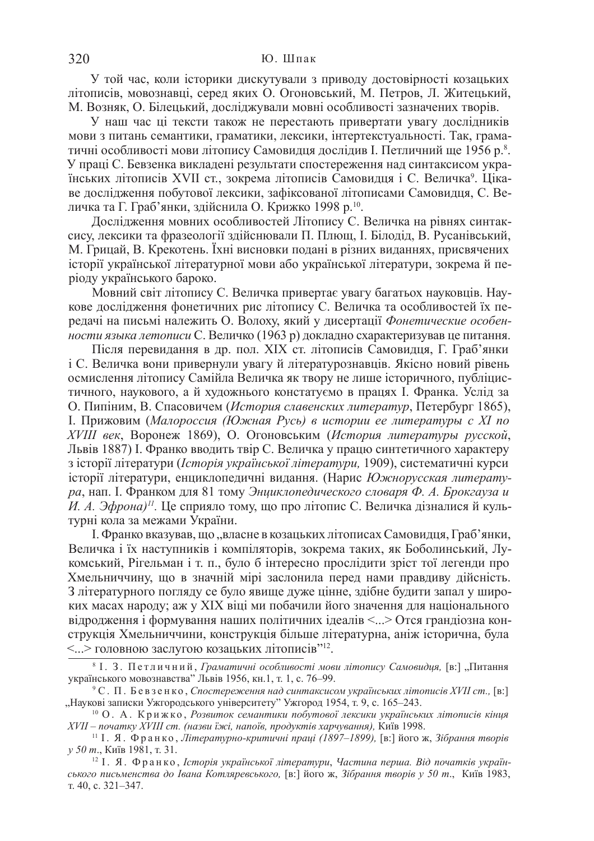#### 320 ɘ. ɒɩɚɤ

У той час, коли історики дискутували з приводу достовірності козацьких літописів, мовознавці, серед яких О. Огоновський, М. Петров, Л. Житецький, М. Возняк, О. Білецький, досліджували мовні особливості зазначених творів.

У наш час ці тексти також не перестають привертати увагу дослідників мови з питань семантики, граматики, лексики, інтертекстуальності. Так, граматичні особливості мови літопису Самовидця дослідив І. Петличний ще 1956 р.<sup>8</sup>. У праці С. Бевзенка викладені результати спостереження над синтаксисом українських літописів XVII ст., зокрема літописів Самовидця і С. Величка<sup>9</sup>. Цікаве дослідження побутової лексики, зафіксованої літописами Самовидця, С. Величка та Г. Граб'янки, здійснила О. Крижко 1998 р.<sup>10</sup>.

Дослідження мовних особливостей Літопису С. Величка на рівнях синтаксису, лексики та фразеології здійснювали П. Плющ, І. Білодід, В. Русанівський, М. Грицай, В. Крекотень. Їхні висновки подані в різних виданнях, присвячених історії української літературної мови або української літератури, зокрема й періоду українського бароко.

Мовний світ літопису С. Величка привертає увагу багатьох науковців. Наукове дослідження фонетичних рис літопису С. Величка та особливостей їх передачі на письмі належить О. Волоху, який у дисертації Фонетические особен*ности языка летописи* С. Величко (1963 р) докладно схарактеризував це питання.

Після перевидання в др. пол. XIX ст. літописів Самовидця, Г. Граб'янки і С. Величка вони привернули увагу й літературознавців. Якісно новий рівень осмислення літопису Самійла Величка як твору не лише історичного, публіцистичного, наукового, а й художнього констатуємо в працях І. Франка. Услід за О. Пипіним, В. Спасовичем (История славенских литератур, Петербург 1865), I. Прижовим (Малороссия (Южная Русь) в истории ее литературы с XI по *XVIII век*, Воронеж 1869), О. Огоновським (История литературы русской, Львів 1887) І. Франко вводить твір С. Величка у працю синтетичного характеру з історії літератури (Історія української літератури, 1909), систематичні курси iсторiї лiтератури, енциклопедичні видання. (Нарис Южнорусская литерату $pa$ , нап. І. Франком для 81 тому Энциклопедического словаря Ф. А. Брокгауза и *И. А. Эфрона)<sup>и</sup>*. Це сприяло тому, що про літопис С. Величка дізналися й культурні кола за межами України.

I. Франко вказував, що "власне в козацьких літописах Самовидця, Граб'янки, Величка і їх наступників і компіляторів, зокрема таких, як Боболинський, Лукомський, Рігельман і т. п., було б інтересно прослідити зріст тої легенди про Хмельниччину, що в значній мірі заслонила перед нами правдиву дійсність. 3 літературного погляду се було явище дуже цінне, здібне будити запал у широких масах народу; аж у XIX віці ми побачили його значення для національного відродження і формування наших політичних ідеалів <...> Отся грандіозна конструкція Хмельниччини, конструкція більше літературна, аніж історична, була  $\leq$ ...> головною заслугою козацьких літописів"<sup>12</sup>.

 $^8$  І. З. Петличний, *Граматичні особливості мови літопису Самовидця*, [в:] "Питання українського мовознавства" Львів 1956, кн.1, т. 1, с. 76–99.

<sup>&</sup>lt;sup>9</sup> С. П. Бевзенко, Спостереження над синтаксисом українських літописів XVII ст., [в:] "Наукові записки Ужгородського університету" Ужгород 1954, т. 9, с. 165–243.

<sup>&</sup>lt;sup>10</sup> О. А. Крижко, *Розвиток семантики побутової лексики українських літописів кінця*  $XVII$  – початку XVIII ст. (назви їжі, напоїв, продуктів харчування), Київ 1998.

<sup>&</sup>lt;sup>11</sup> І. Я. Франко, Літературно-критичні праці (1897–1899), [в:] його ж. Зібрання творів *., Київ 1981, т. 31.* 

<sup>&</sup>lt;sup>12</sup> <sup>I</sup>. Я. Франко, *Історія української літератури*, Частина перша. Від початків україн*ɫɶɤɨɝɨ ɩɢɫɶɦɟɧɫɬɜɚ ɞɨ ȱɜɚɧɚ Ʉɨɬɥɹɪɟɜɫɶɤɨɝɨ,* [ɜ:] ɣɨɝɨ ɠ, *Ɂɿɛɪɚɧɧɹ ɬɜɨɪɿɜ ɭ 50 ɬ*., Ʉɢʀɜ 1983, т. 40, с. 321–347.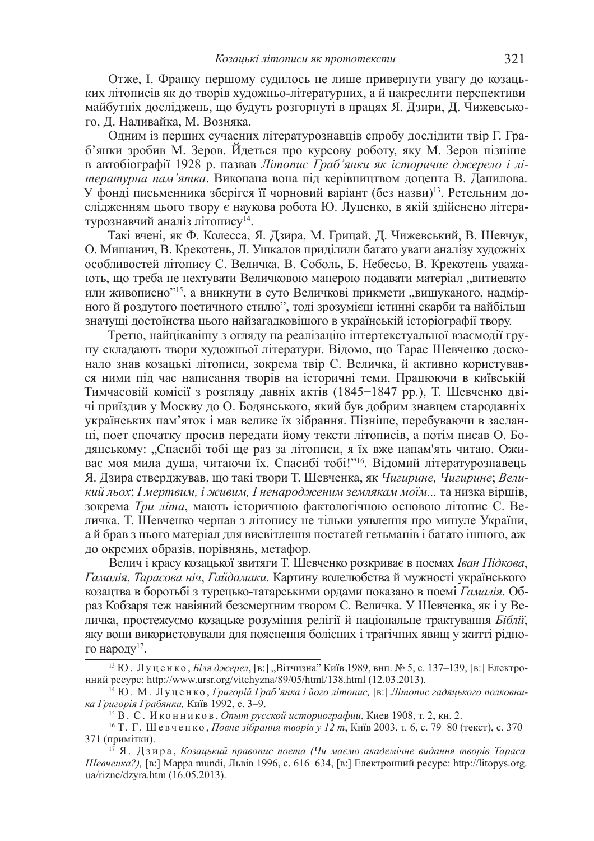Отже, І. Франку першому судилось не лише привернути увагу до козацьких літописів як до творів художньо-літературних, а й накреслити перспективи майбутніх досліджень, що будуть розгорнуті в працях Я. Дзири, Д. Чижевського, Д. Наливайка, М. Возняка.

Одним із перших сучасних літературознавців спробу дослідити твір Г. Граб'янки зробив М. Зеров. Йдеться про курсову роботу, яку М. Зеров пізніше в автобіографії 1928 р. назвав Літопис Граб'янки як історичне джерело і лі*тературна пам'ятка*. Виконана вона під керівництвом доцента В. Данилова. У фонді письменника зберігся її чорновий варіант (без назви)<sup>13</sup>. Ретельним дослідженням цього твору є наукова робота Ю. Луценко, в якій здійснено літературознавчий аналіз літопису<sup>14</sup>.

Такі вчені, як Ф. Колесса, Я. Дзира, М. Грицай, Д. Чижевський, В. Шевчук, О. Мишанич, В. Крекотень, Л. Ушкалов приділили багато уваги аналізу художніх особливостей літопису С. Величка. В. Соболь, Б. Небесьо, В. Крекотень уважають, що треба не нехтувати Величковою манерою подавати матеріал "витиевато или живописно"<sup>15</sup>, а вникнути в суто Величкові прикмети "вишуканого, надмірного й роздутого поетичного стилю", тоді зрозумієш істинні скарби та найбільш значущі достоїнства цього найзагадковішого в українській історіографії твору.

Третю, найцікавішу з огляду на реалізацію інтертекстуальної взаємодії групу складають твори художньої літератури. Відомо, що Тарас Шевченко досконало знав козацькі літописи, зокрема твір С. Величка, й активно користувався ними під час написання творів на історичні теми. Працюючи в київській Тимчасовій комісії з розгляду давніх актів (1845–1847 рр.), Т. Шевченко двічі приїздив у Москву до О. Бодянського, який був добрим знавцем стародавніх українських пам'яток і мав велике їх зібрання. Пізніше, перебуваючи в засланні, поет спочатку просив передати йому тексти літописів, а потім писав О. Бодянському: "Спасибі тобі ще раз за літописи, я їх вже напам'ять читаю. Оживає моя мила душа, читаючи їх. Спасибі тобі!"<sup>16</sup>. Відомий літературознавець Я. Дзира стверджував, що такі твори Т. Шевченка, як Чигирине, Чигирине; Вели*ɤɢɣ ɥɶɨɯ*; *ȱ ɦɟɪɬɜɢɦ, ɿ ɠɢɜɢɦ, ȱ ɧɟɧɚɪɨɞɠɟɧɢɦ ɡɟɦɥɹɤɚɦ ɦɨʀɦ...* ɬɚ ɧɢɡɤɚ ɜɿɪɲɿɜ, зокрема *Три літа*, мають історичною фактологічною основою літопис С. Величка. Т. Шевченко черпав з літопису не тільки уявлення про минуле України, ай брав з нього матеріал для висвітлення постатей гетьманів і багато іншого, аж до окремих образів, порівнянь, метафор.

Велич і красу козацької звитяги Т. Шевченко розкриває в поемах *Іван Підкова*, Гамалія, *Тарасова ніч, Гайдамаки*. Картину волелюбства й мужності українського козацтва в боротьбі з турецько-татарськими ордами показано в поемі Гамалія. Образ Кобзаря теж навіяний безсмертним твором С. Величка. У Шевченка, як і у Величка, простежуємо козацьке розуміння релігії й національне трактування Біблії, яку вони використовували для пояснення болісних і трагічних явищ у житті рідного народу $17$ .

<sup>&</sup>lt;sup>13</sup> Ю. Луценко, *Біля джерел*, [в:] "Вітчизна" Київ 1989, вип. № 5, с. 137-139, [в:] Електроɧɧɢɣ ɪɟɫɭɪɫ: http://www.ursr.org/vitchyzna/89/05/html/138.html (12.03.2013).

<sup>&</sup>lt;sup>14</sup> Ю. М. Луценко, *Григорій Граб'янка і його літопис*, [в:] Літопис гадяцького полковни*ка Григорія Грабянки*, Київ 1992, с. 3–9.

<sup>&</sup>lt;sup>15</sup> В. С. Иконников, *Опыт русской историографии*, Киев 1908, т. 2, кн. 2.

<sup>&</sup>lt;sup>16</sup> Т. Г. Шевченко, *Повне зібрання творів у 12 m*, Київ 2003, т. 6, с. 79–80 (текст), с. 370– 371 (примітки).

<sup>&</sup>lt;sup>7</sup> Я. Дзира, Козацький правопис поета (Чи маємо академічне видання творів Тараса *Шевченка?*), [в:] Mappa mundi, Львів 1996, с. 616–634, [в:] Електронний ресурс: http://litopys.org. ua/rizne/dzyra.htm (16.05.2013).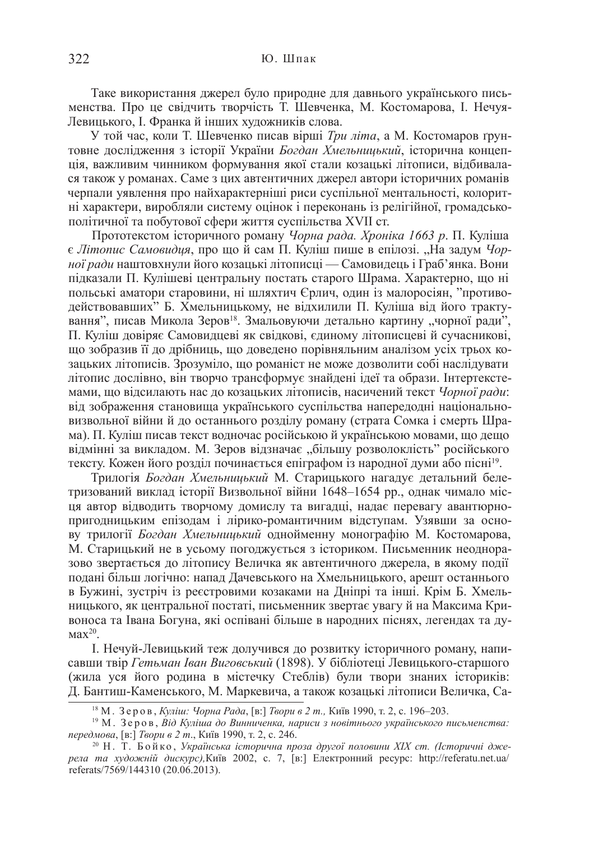Таке використання джерел було природне для давнього українського письменства. Про це свідчить творчість Т. Шевченка, М. Костомарова, І. Нечуя-Левицького, І. Франка й інших художників слова.

У той час, коли Т. Шевченко писав вірші *Три літа*, а М. Костомаров ґрунтовне дослідження з історії України Богдан Хмельницький, історична концепція, важливим чинником формування якої стали козацькі літописи, відбивалася також у романах. Саме з цих автентичних джерел автори історичних романів черпали уявлення про найхарактерніші риси суспільної ментальності, колоритні характери, виробляли систему оцінок і переконань із релігійної, громадськополітичної та побутової сфери життя суспільства XVII ст.

Прототекстом історичного роману Чорна рада. Хроніка 1663 р. П. Куліша  $\epsilon$  *Літопис Самовидця*, про що й сам П. Куліш пише в епілозі. "На задум Чор*ної ради* наштовхнули його козацькі літописці — Самовидець і Граб'янка. Вони підказали П. Кулішеві центральну постать старого Шрама. Характерно, що ні польські аматори старовини, ні шляхтич Єрлич, один із малоросіян, "противодействовавших" Б. Хмельницькому, не відхилили П. Куліша від його трактування", писав Микола Зеров<sup>18</sup>. Змальовуючи детально картину "чорної ради", П. Куліш довіряє Самовидцеві як свідкові, єдиному літописцеві й сучасникові, що зобразив її до дрібниць, що доведено порівняльним аналізом усіх трьох козацьких літописів. Зрозуміло, що романіст не може дозволити собі наслідувати літопис дослівно, він творчо трансформує знайдені ідеї та образи. Інтертекстемами, що відсилають нас до козацьких літописів, насичений текст Чорної ради: від зображення становища українського суспільства напередодні національновизвольної війни й до останнього розділу роману (страта Сомка і смерть Шрама). П. Куліш писав текст водночас російською й українською мовами, що дещо відмінні за викладом. М. Зеров відзначає "більшу розволоклість" російського тексту. Кожен його розділ починається епіграфом із народної думи або пісні<sup>19</sup>.

Трилогія Богдан Хмельницький М. Старицького нагадує детальний белетризований виклад історії Визвольної війни 1648–1654 рр., однак чимало місця автор відводить творчому домислу та вигадці, надає перевагу авантюрнопригодницьким епізодам і лірико-романтичним відступам. Узявши за основу трилогії Богдан Хмельницький однойменну монографію М. Костомарова, М. Старицький не в усьому погоджується з істориком. Письменник неодноразово звертається до літопису Величка як автентичного джерела, в якому події подані більш логічно: напад Дачевського на Хмельницького, арешт останнього в Бужині, зустріч із реєстровими козаками на Дніпрі та інші. Крім Б. Хмельницького, як центральної постаті, письменник звертає увагу й на Максима Кривоноса та Івана Богуна, які оспівані більше в народних піснях, легендах та ду- $\text{max}^{20}$ .

I. Нечуй-Левицький теж долучився до розвитку історичного роману, написавши твір Гетьман Іван Виговський (1898). У бібліотеці Левицького-старшого (жила уся його родина в містечку Стеблів) були твори знаних істориків: Д. Бантиш-Каменського, М. Маркевича, а також козацькі літописи Величка, Са-

<sup>&</sup>lt;sup>18</sup> М. Зеров, Куліш: Чорна Рада, [в:] *Твори в 2 т., Київ* 1990, т. 2, с. 196–203.

<sup>&</sup>lt;sup>19</sup> М. Зеров, Від Куліша до Винниченка, нариси з новітнього українського письменства: *передмова*, [в:] *Твори в 2 т.*, Київ 1990, т. 2, с. 246.

<sup>&</sup>lt;sup>20</sup> Н. Т. Бойко, Українська історична проза другої половини XIX ст. (Історичні джеpела та художній дискурс), Київ 2002, с. 7, [в:] Електронний ресурс: http://referatu.net.ua/ referats/7569/144310 (20.06.2013).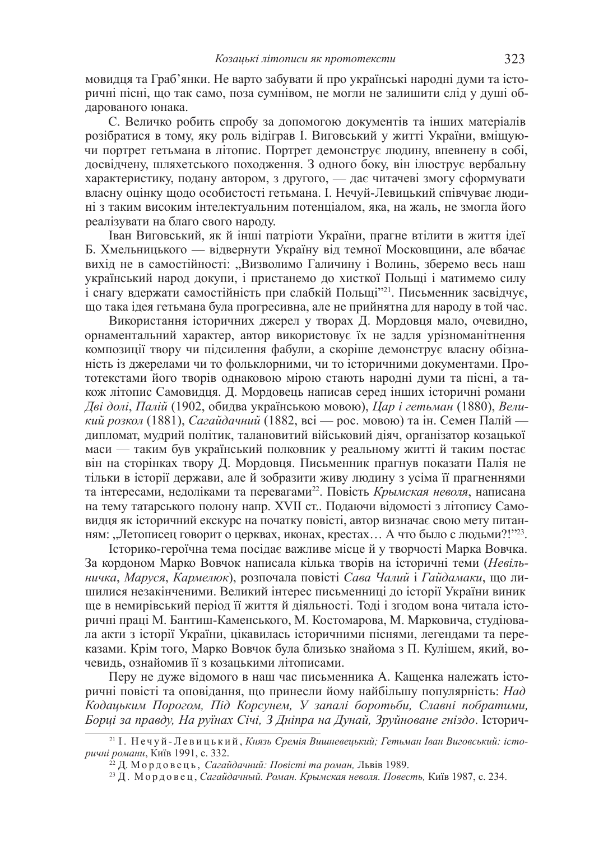мовидця та Граб'янки. Не варто забувати й про українські народні думи та історичні пісні, що так само, поза сумнівом, не могли не залишити слід у душі обдарованого юнака.

С. Величко робить спробу за допомогою документів та інших матеріалів розібратися в тому, яку роль відіграв І. Виговський у житті України, вміщуючи портрет гетьмана в літопис. Портрет демонструє людину, впевнену в собі, досвідчену, шляхетського походження. З одного боку, він ілюструє вербальну характеристику, подану автором, з другого, — дає читачеві змогу сформувати власну оцінку щодо особистості гетьмана. І. Нечуй-Левицький співчуває людині з таким високим інтелектуальним потенціалом, яка, на жаль, не змогла його реалізувати на благо свого народу.

Iван Виговський, як й інші патріоти України, прагне втілити в життя ідеї Б. Хмельницького — відвернути Україну від темної Московщини, але вбачає вихід не в самостійності: "Визволимо Галичину і Волинь, зберемо весь наш український народ докупи, і пристанемо до хисткої Польщі і матимемо силу і снагу вдержати самостійність при слабкій Польщі<sup>721</sup>. Письменник засвідчує, що така ідея гетьмана була прогресивна, але не прийнятна для народу в той час.

Використання історичних джерел у творах Д. Мордовця мало, очевидно, орнаментальний характер, автор використовує їх не задля урізноманітнення композиції твору чи підсилення фабули, а скоріше демонструє власну обізнаність із джерелами чи то фольклорними, чи то історичними документами. Прототекстами його творів однаковою мірою стають народні думи та пісні, а також літопис Самовидця. Д. Мордовець написав серед інших історичні романи Дві долі, Палій (1902, обидва українською мовою), Цар і гетьман (1880), Вели*кий розкол* (1881), *Сагайдачний* (1882, всі — рос. мовою) та ін. Семен Палій дипломат, мудрий політик, талановитий військовий діяч, організатор козацької маси — таким був український полковник у реальному житті й таким постає він на сторінках твору Д. Мордовця. Письменник прагнув показати Палія не тільки в історії держави, але й зобразити живу людину з усіма її прагненнями та інтересами, недоліками та перевагами<sup>22</sup>. Повість Крымская неволя, написана на тему татарського полону напр. XVII ст.. Подаючи відомості з літопису Самовидця як історичний екскурс на початку повісті, автор визначає свою мету питанням: "Летописец говорит о церквах, иконах, крестах... А что было с людьми?!"<sup>23</sup>.

Історико-героїчна тема посідає важливе місце й у творчості Марка Вовчка. За кордоном Марко Вовчок написала кілька творів на історичні теми (Невіль*ничка*, *Маруся*, *Кармелюк*), розпочала повісті Сава Чалий і Гайдамаки, що лишилися незакінченими. Великий інтерес письменниці до історії України виник ще в немирівський період її життя й діяльності. Тоді і згодом вона читала історичні праці М. Бантиш-Каменського, М. Костомарова, М. Марковича, студіювала акти з історії України, цікавилась історичними піснями, легендами та переказами. Крім того, Марко Вовчок була близько знайома з П. Кулішем, який, вочевиль, ознайомив її з козацькими літописами.

Перу не дуже відомого в наш час письменника А. Кащенка належать історичні повісті та оповідання, що принесли йому найбільшу популярність: Над  $K$ одацьким Порогом, Під Корсунем, У запалі боротьби, Славні побратими, **Борці за правду, На руїнах Січі, 3 Дніпра на Дунай, Зруйноване гніздо. Історич-**

<sup>&</sup>lt;sup>21</sup> І. Нечуй-Левицький, Князь Єремія Вишневецький; Гетьман Іван Виговський: iсто $p$ ичні романи, Київ 1991, с. 332.

<sup>&</sup>lt;sup>22</sup> Д. Мордовець, *Сагайдачний: Повісті та роман*, Львів 1989.

<sup>&</sup>lt;sup>23</sup> Д. Мордовец, Сагайдачный. Роман. Крымская неволя. Повесть, Київ 1987, с. 234.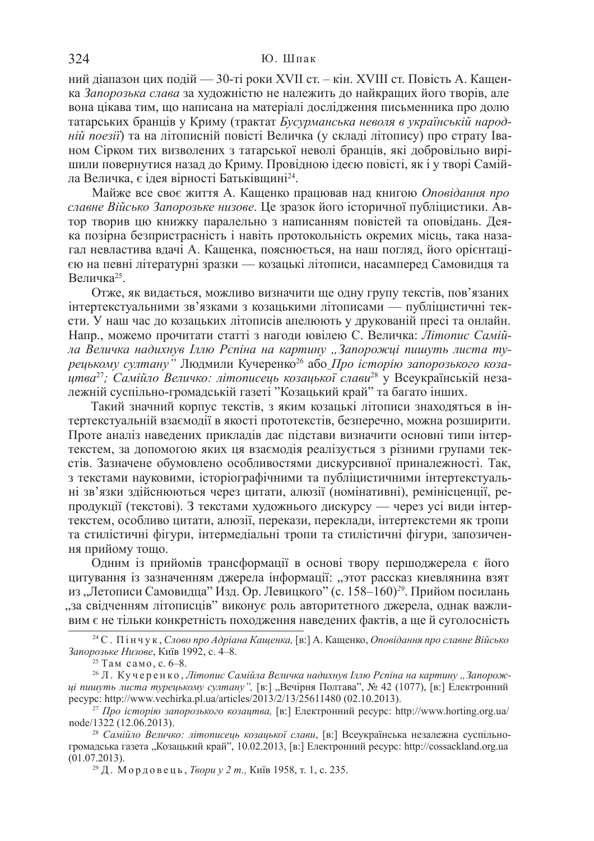ний діапазон цих подій — 30-ті роки XVII ст. – кін. XVIII ст. Повість А. Кащенка Запорозька слава за художністю не належить до найкращих його творів, але вона цікава тим, що написана на матеріалі дослідження письменника про долю татарських бранців у Криму (трактат *Бусурманська неволя в українській народній поезії*) та на літописній повісті Величка (у складі літопису) про страту Іваном Сірком тих визволених з татарської неволі бранців, які добровільно вирішили повернутися назад до Криму. Провідною ідеєю повісті, як і у творі Самійла Величка, є ідея вірності Батьківщині<sup>24</sup>.

Майже все своє життя А. Кащенко працював над книгою Оповідання про славне Військо Запорозьке низове. Це зразок його історичної публіцистики. Автор творив цю книжку паралельно з написанням повістей та оповідань. Деяка позірна безпристрасність і навіть протокольність окремих місць, така назагал невластива вдачі А. Кащенка, пояснюється, на наш погляд, його орієнтацією на певні літературні зразки — козацькі літописи, насамперед Самовидця та Величка<sup>25</sup>.

Отже, як видається, можливо визначити ще одну групу текстів, пов'язаних інтертекстуальними зв'язками з козацькими літописами — публіцистичні тексти. У наш час до козацьких літописів апелюють у друкованій пресі та онлайн. Напр., можемо прочитати статті з нагоди ювілею С. Величка: *Літопис Самій*ла Величка надихнув Іллю Рєпіна на картину "Запорожці пишуть листа турецькому султану" Людмили Кучеренко<sup>26</sup> або *Про історію запорозького коза*дтва<sup>27</sup>; Самійло Величко: літописець козацької слави<sup>28</sup> у Всеукраїнській незалежній суспільно-громадській газеті "Козацький край" та багато інших.

Такий значний корпус текстів, з яким козацькі літописи знаходяться в інтертекстуальній взаємодії в якості прототекстів, безперечно, можна розширити. Проте аналіз наведених прикладів дає підстави визначити основні типи інтертекстем, за допомогою яких ця взаємодія реалізується з різними групами текстів. Зазначене обумовлено особливостями дискурсивної приналежності. Так, з текстами науковими, історіографічними та публіцистичними інтертекстуальні зв'язки здійснюються через цитати, алюзії (номінативні), ремінісценції, репродукції (текстові). З текстами художнього дискурсу — через усі види інтертекстем, особливо цитати, алюзії, перекази, переклади, інтертекстеми як тропи та стилістичні фігури, інтермедіальні тропи та стилістичні фігури, запозичення прийому тощо.

Одним із прийомів трансформації в основі твору першоджерела є його цитування із зазначенням джерела інформації: "этот рассказ киевлянина взят из "Летописи Самовидца" Изд. Ор. Левицкого" (с. 158–160)<sup>29</sup>. Прийом посилань , за свідченням літописців" виконує роль авторитетного джерела, однак важливим є не тільки конкретність походження наведених фактів, а ще й суголосність

<sup>24</sup> С. Пінчук, *Слово про Адріана Кащенка*, [в:] А. Кащенко, *Оповідання про славне Військо* Запорозьке Низове, Київ 1992, с. 4–8.

 $25$  Там само, с. 6–8.

<sup>26</sup> Л. Кучеренко. Літопис Самійла Величка надихнув Іллю Рєпіна на картину. Запорож- $\mu$ *i пишуть листа турецькому султану*", [в:] "Вечірня Полтава", № 42 (1077), [в:] Електронний pecypc: http://www.vechirka.pl.ua/articles/2013/2/13/25611480 (02.10.2013).

<sup>27</sup> *Про icmopiю запорозького козацтва*, [в:] Електронний ресурс: http://www.horting.org.ua/ node/1322 (12.06.2013).

<sup>28</sup> Самійло Величко: літописець козацької слави, [в:] Всеукраїнська незалежна суспільногромадська газета "Козацький край", 10.02.2013, [в:] Електронний ресурс: http://cossackland.org.ua (01.07.2013).

<sup>29</sup> Д. Мордовець, *Твори у 2 т.*, Київ 1958, т. 1, с. 235.